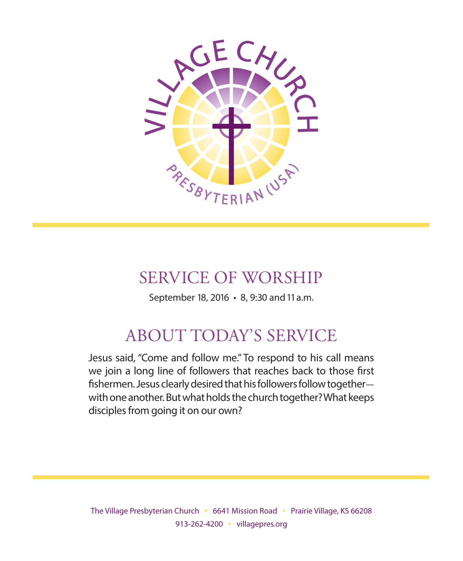

# SERVICE OF WORSHIP

September 18, 2016 • 8, 9:30 and 11 a.m.

# ABOUT TODAY'S SERVICE

Jesus said, "Come and follow me." To respond to his call means we join a long line of followers that reaches back to those first fishermen. Jesus clearly desired that his followers follow togetherwith one another. But what holds the church together? What keeps disciples from going it on our own?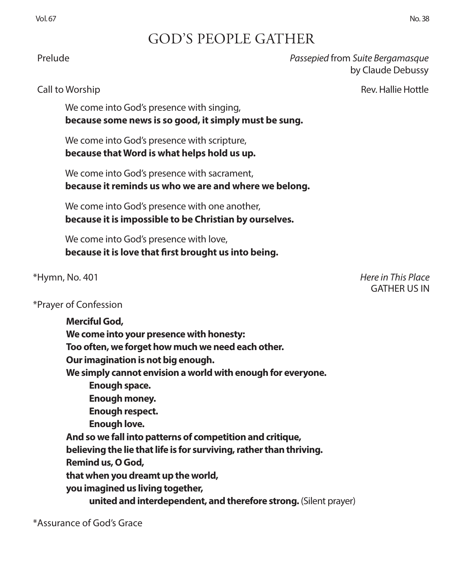# GOD'S PEOPLE GATHER

 Prelude *Passepied* from *Suite Bergamasque* by Claude Debussy

Call to Worship **Rev. Hallie Hottle** 

We come into God's presence with singing, **because some news is so good, it simply must be sung.**

We come into God's presence with scripture, **because that Word is what helps hold us up.**

We come into God's presence with sacrament, **because it reminds us who we are and where we belong.**

We come into God's presence with one another, **because it is impossible to be Christian by ourselves.**

We come into God's presence with love, **because it is love that first brought us into being.**

## \*Prayer of Confession

**Merciful God, We come into your presence with honesty: Too often, we forget how much we need each other. Our imagination is not big enough. We simply cannot envision a world with enough for everyone. Enough space. Enough money. Enough respect. Enough love. And so we fall into patterns of competition and critique, believing the lie that life is for surviving, rather than thriving. Remind us, O God, that when you dreamt up the world, you imagined us living together, united and interdependent, and therefore strong.** (Silent prayer)

\*Assurance of God's Grace

\*Hymn, No. 401 *Here in This Place* GATHER US IN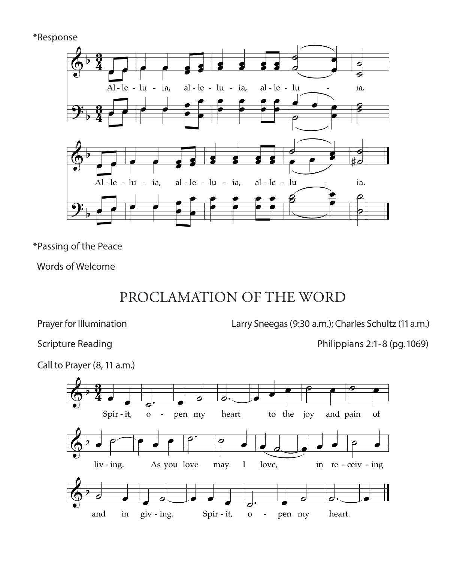\*Response



\*Passing of the Peace

Words of Welcome

# PROCLAMATION OF THE WORD

DEDICATION AND STEWARDSHIP 692 *Refrain* Capo 3: ا<br>for Illumir

Prayer for Illumination Larry Sneegas (9:30 a.m.); Charles Schultz (11 a.m.)<br>Contract My Heart My Heart My Heart My Heart My Heart My Heart My Heart My Heart My Heart My Heart My Heart My  $S_{\text{POMS}}(0.30)$ 

ire Reading<br>

Scripture Reading<br>  $\begin{array}{ccc} \text{S} & \text{Pb} & \text{Pb}} \\ \text{S} & \text{Pb} & \text{Pc} & \text{Pc} & \text{Pc} \end{array}$ 

.<br>rayer (8, 11 a.m

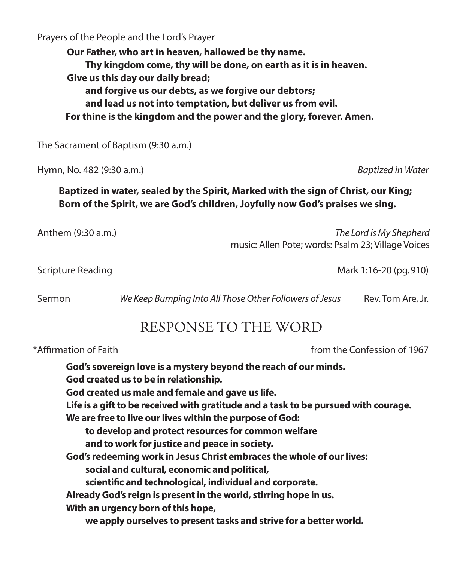Prayers of the People and the Lord's Prayer

**Our Father, who art in heaven, hallowed be thy name. Thy kingdom come, thy will be done, on earth as it is in heaven. Give us this day our daily bread; and forgive us our debts, as we forgive our debtors; and lead us not into temptation, but deliver us from evil. For thine is the kingdom and the power and the glory, forever. Amen.**

The Sacrament of Baptism (9:30 a.m.)

Hymn, No. 482 (9:30 a.m.) *Baptized in Water*

**Baptized in water, sealed by the Spirit, Marked with the sign of Christ, our King; Born of the Spirit, we are God's children, Joyfully now God's praises we sing.**

Anthem (9:30 a.m.) *The Lord is My Shepherd*

music: Allen Pote; words: Psalm 23; Village Voices

Scripture Reading Mark 1:16-20 (pg. 910)

Sermon *We Keep Bumping Into All Those Other Followers of Jesus* Rev. Tom Are, Jr.

# RESPONSE TO THE WORD

\*Affirmation of Faith from the Confession of 1967 **God's sovereign love is a mystery beyond the reach of our minds. God created us to be in relationship. God created us male and female and gave us life. Life is a gift to be received with gratitude and a task to be pursued with courage. We are free to live our lives within the purpose of God: to develop and protect resources for common welfare and to work for justice and peace in society. God's redeeming work in Jesus Christ embraces the whole of our lives: social and cultural, economic and political, scientific and technological, individual and corporate. Already God's reign is present in the world, stirring hope in us. With an urgency born of this hope, we apply ourselves to present tasks and strive for a better world.**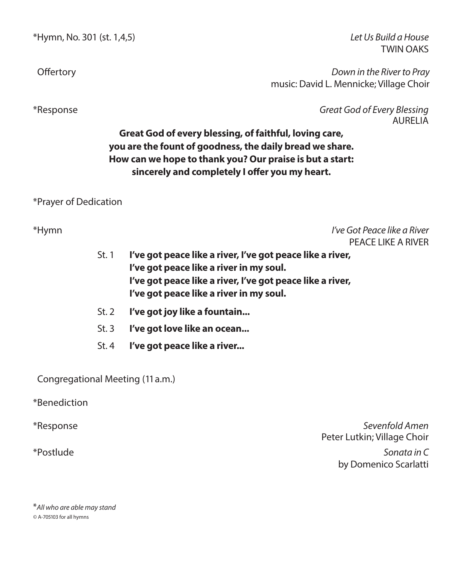\*Hymn, No. 301 (st. 1,4,5) *Let Us Build a House* 

TWIN OAKS

 Offertory *Down in the River to Pray* music: David L. Mennicke; Village Choir

\*Response *Great God of Every Blessing* AURELIA

## **Great God of every blessing, of faithful, loving care, you are the fount of goodness, the daily bread we share. How can we hope to thank you? Our praise is but a start: sincerely and completely I offer you my heart.**

\*Prayer of Dedication

PEACE LIKE A RIVER

- St. 1 **I've got peace like a river, I've got peace like a river, I've got peace like a river in my soul. I've got peace like a river, I've got peace like a river, I've got peace like a river in my soul.**
- St. 2 **I've got joy like a fountain...**
- St. 3 **I've got love like an ocean...**
- St. 4 **I've got peace like a river...**

Congregational Meeting (11 a.m.)

\*Benediction

\*Response *Sevenfold Amen* Peter Lutkin; Village Choir

\*Postlude *Sonata in C* by Domenico Scarlatti

\**All who are able may stand ©* A-705103 for all hymns

- 
- 
- 

\*Hymn *I've Got Peace like a River*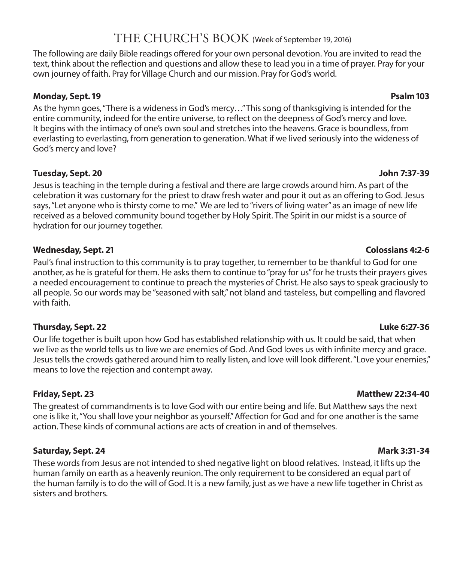# THE CHURCH'S BOOK (Week of September 19, 2016)

The following are daily Bible readings offered for your own personal devotion. You are invited to read the text, think about the reflection and questions and allow these to lead you in a time of prayer. Pray for your own journey of faith. Pray for Village Church and our mission. Pray for God's world.

### **Monday, Sept. 19 Psalm 103**

As the hymn goes, "There is a wideness in God's mercy…" This song of thanksgiving is intended for the entire community, indeed for the entire universe, to reflect on the deepness of God's mercy and love. It begins with the intimacy of one's own soul and stretches into the heavens. Grace is boundless, from everlasting to everlasting, from generation to generation. What if we lived seriously into the wideness of God's mercy and love?

### **Tuesday, Sept. 20 John 7:37-39**

Jesus is teaching in the temple during a festival and there are large crowds around him. As part of the celebration it was customary for the priest to draw fresh water and pour it out as an offering to God. Jesus says, "Let anyone who is thirsty come to me." We are led to "rivers of living water" as an image of new life received as a beloved community bound together by Holy Spirit. The Spirit in our midst is a source of hydration for our journey together.

## **Wednesday, Sept. 21 Colossians 4:2-6**

Paul's final instruction to this community is to pray together, to remember to be thankful to God for one another, as he is grateful for them. He asks them to continue to "pray for us" for he trusts their prayers gives a needed encouragement to continue to preach the mysteries of Christ. He also says to speak graciously to all people. So our words may be "seasoned with salt," not bland and tasteless, but compelling and flavored with faith.

## **Thursday, Sept. 22 Luke 6:27-36**

Our life together is built upon how God has established relationship with us. It could be said, that when we live as the world tells us to live we are enemies of God. And God loves us with infinite mercy and grace. Jesus tells the crowds gathered around him to really listen, and love will look different. "Love your enemies," means to love the rejection and contempt away.

The greatest of commandments is to love God with our entire being and life. But Matthew says the next one is like it, "You shall love your neighbor as yourself." Affection for God and for one another is the same action. These kinds of communal actions are acts of creation in and of themselves.

## **Saturday, Sept. 24 Mark 3:31-34**

These words from Jesus are not intended to shed negative light on blood relatives. Instead, it lifts up the human family on earth as a heavenly reunion. The only requirement to be considered an equal part of the human family is to do the will of God. It is a new family, just as we have a new life together in Christ as sisters and brothers.

### **Friday, Sept. 23 Matthew 22:34-40**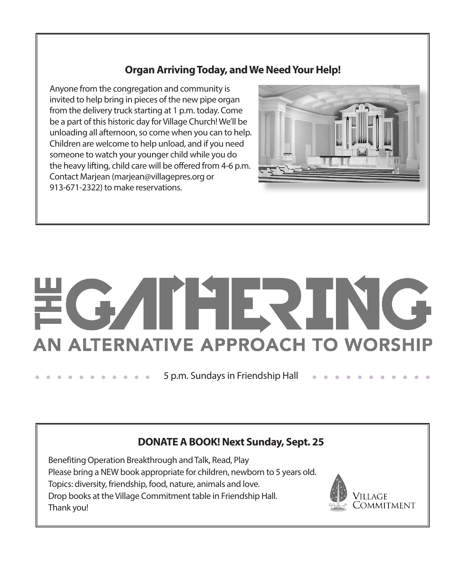## **Organ Arriving Today, and We Need Your Help!**

Anyone from the congregation and community is invited to help bring in pieces of the new pipe organ from the delivery truck starting at 1 p.m. today. Come be a part of this historic day for Village Church! We'll be unloading all afternoon, so come when you can to help. Children are welcome to help unload, and if you need someone to watch your younger child while you do the heavy lifting, child care will be offered from 4-6 p.m. Contact Marjean (marjean@villagepres.org or 913-671-2322) to make reservations.



# IFIR. AN ALTERNATIVE APPROACH TO WORSHIP

5 p.m. Sundays in Friendship Hall

## **DONATE A BOOK! Next Sunday, Sept. 25**

Benefiting Operation Breakthrough and Talk, Read, Play Please bring a NEW book appropriate for children, newborn to 5 years old. Topics: diversity, friendship, food, nature, animals and love. Drop books at the Village Commitment table in Friendship Hall. Thank you!

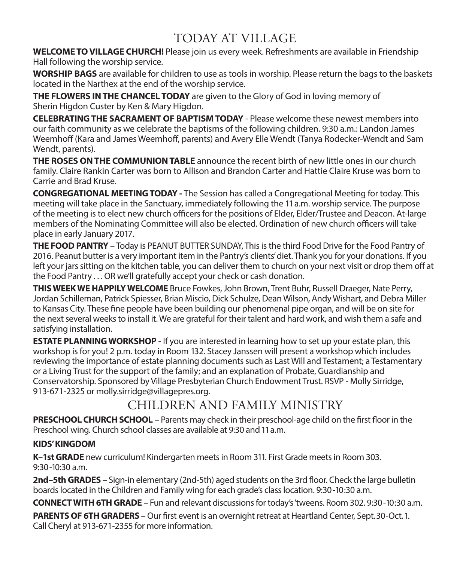# TODAY AT VILLAGE

**WELCOME TO VILLAGE CHURCH!** Please join us every week. Refreshments are available in Friendship Hall following the worship service.

**WORSHIP BAGS** are available for children to use as tools in worship. Please return the bags to the baskets located in the Narthex at the end of the worship service.

**THE FLOWERS IN THE CHANCEL TODAY** are given to the Glory of God in loving memory of Sherin Higdon Custer by Ken & Mary Higdon.

**CELEBRATING THE SACRAMENT OF BAPTISM TODAY** - Please welcome these newest members into our faith community as we celebrate the baptisms of the following children. 9:30 a.m.: Landon James Weemhoff (Kara and James Weemhoff, parents) and Avery Elle Wendt (Tanya Rodecker-Wendt and Sam Wendt, parents).

**THE ROSES ON THE COMMUNION TABLE** announce the recent birth of new little ones in our church family. Claire Rankin Carter was born to Allison and Brandon Carter and Hattie Claire Kruse was born to Carrie and Brad Kruse.

**CONGREGATIONAL MEETING TODAY -** The Session has called a Congregational Meeting for today. This meeting will take place in the Sanctuary, immediately following the 11 a.m. worship service. The purpose of the meeting is to elect new church officers for the positions of Elder, Elder/Trustee and Deacon. At-large members of the Nominating Committee will also be elected. Ordination of new church officers will take place in early January 2017.

**THE FOOD PANTRY** – Today is PEANUT BUTTER SUNDAY, This is the third Food Drive for the Food Pantry of 2016. Peanut butter is a very important item in the Pantry's clients' diet. Thank you for your donations. If you left your jars sitting on the kitchen table, you can deliver them to church on your next visit or drop them off at the Food Pantry . . . OR we'll gratefully accept your check or cash donation.

**THIS WEEK WE HAPPILY WELCOME** Bruce Fowkes, John Brown, Trent Buhr, Russell Draeger, Nate Perry, Jordan Schilleman, Patrick Spiesser, Brian Miscio, Dick Schulze, Dean Wilson, Andy Wishart, and Debra Miller to Kansas City. These fine people have been building our phenomenal pipe organ, and will be on site for the next several weeks to install it. We are grateful for their talent and hard work, and wish them a safe and satisfying installation.

**ESTATE PLANNING WORKSHOP -** If you are interested in learning how to set up your estate plan, this workshop is for you! 2 p.m. today in Room 132. Stacey Janssen will present a workshop which includes reviewing the importance of estate planning documents such as Last Will and Testament; a Testamentary or a Living Trust for the support of the family; and an explanation of Probate, Guardianship and Conservatorship. Sponsored by Village Presbyterian Church Endowment Trust. RSVP - Molly Sirridge, 913-671-2325 or molly.sirridge@villagepres.org.

# CHILDREN AND FAMILY MINISTRY

**PRESCHOOL CHURCH SCHOOL** – Parents may check in their preschool-age child on the first floor in the Preschool wing. Church school classes are available at 9:30 and 11 a.m.

## **KIDS' KINGDOM**

**K–1st GRADE** new curriculum! Kindergarten meets in Room 311. First Grade meets in Room 303. 9:30-10:30 a.m.

**2nd–5th GRADES** – Sign-in elementary (2nd-5th) aged students on the 3rd floor. Check the large bulletin boards located in the Children and Family wing for each grade's class location. 9:30-10:30 a.m.

**CONNECT WITH 6TH GRADE** – Fun and relevant discussions for today's 'tweens. Room 302. 9:30-10:30 a.m.

**PARENTS OF 6TH GRADERS** – Our first event is an overnight retreat at Heartland Center, Sept. 30-Oct. 1. Call Cheryl at 913-671-2355 for more information.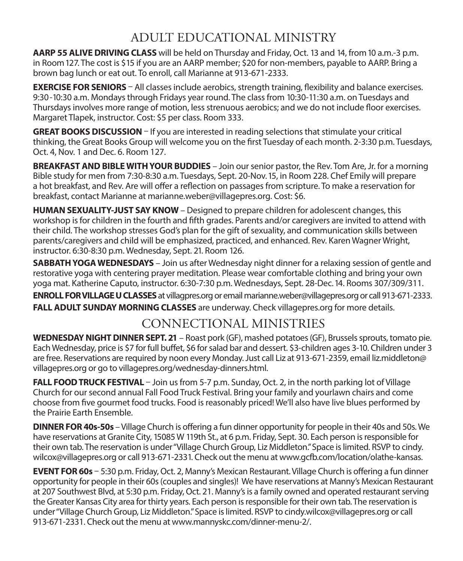# ADULT EDUCATIONAL MINISTRY

**AARP 55 ALIVE DRIVING CLASS** will be held on Thursday and Friday, Oct. 13 and 14, from 10 a.m.-3 p.m. in Room 127. The cost is \$ 15 if you are an AARP member; \$20 for non-members, payable to AARP. Bring a brown bag lunch or eat out. To enroll, call Marianne at 913-671-2333.

**EXERCISE FOR SENIORS** – All classes include aerobics, strength training, flexibility and balance exercises. 9:30-10:30 a.m. Mondays through Fridays year round. The class from 10:30-11:30 a.m. on Tuesdays and Thursdays involves more range of motion, less strenuous aerobics; and we do not include floor exercises. Margaret Tlapek, instructor. Cost: \$5 per class. Room 333.

**GREAT BOOKS DISCUSSION** – If you are interested in reading selections that stimulate your critical thinking, the Great Books Group will welcome you on the first Tuesday of each month. 2-3:30 p.m. Tuesdays, Oct. 4, Nov. 1 and Dec. 6. Room 127.

**BREAKFAST AND BIBLE WITH YOUR BUDDIES** – Join our senior pastor, the Rev. Tom Are, Jr. for a morning Bible study for men from 7:30-8:30 a.m. Tuesdays, Sept. 20-Nov. 15, in Room 228. Chef Emily will prepare a hot breakfast, and Rev. Are will offer a reflection on passages from scripture. To make a reservation for breakfast, contact Marianne at marianne.weber@villagepres.org. Cost: \$6.

**HUMAN SEXUALITY-JUST SAY KNOW** – Designed to prepare children for adolescent changes, this workshop is for children in the fourth and fifth grades. Parents and/or caregivers are invited to attend with their child. The workshop stresses God's plan for the gift of sexuality, and communication skills between parents/caregivers and child will be emphasized, practiced, and enhanced. Rev. Karen Wagner Wright, instructor. 6:30-8:30 p.m. Wednesday, Sept. 21. Room 126.

**SABBATH YOGA WEDNESDAYS** – Join us after Wednesday night dinner for a relaxing session of gentle and restorative yoga with centering prayer meditation. Please wear comfortable clothing and bring your own yoga mat. Katherine Caputo, instructor. 6:30-7:30 p.m. Wednesdays, Sept. 28-Dec. 14. Rooms 307/309/311.

**ENROLL FOR VILLAGE U CLASSES** at villagpres.org or email marianne.weber@villagepres.org or call 913-671-2333. **FALL ADULT SUNDAY MORNING CLASSES** are underway. Check villagepres.org for more details.

# CONNECTIONAL MINISTRIES

**WEDNESDAY NIGHT DINNER SEPT. 21** – Roast pork (GF), mashed potatoes (GF), Brussels sprouts, tomato pie. Each Wednesday, price is \$7 for full buffet, \$6 for salad bar and dessert. \$3-children ages 3-10. Children under 3 are free. Reservations are required by noon every Monday. Just call Liz at 913-671-2359, email liz.middleton@ villagepres.org or go to villagepres.org/wednesday-dinners.html.

**FALL FOOD TRUCK FESTIVAL** – Join us from 5-7 p.m. Sunday, Oct. 2, in the north parking lot of Village Church for our second annual Fall Food Truck Festival. Bring your family and yourlawn chairs and come choose from five gourmet food trucks. Food is reasonably priced! We'll also have live blues performed by the Prairie Earth Ensemble.

**DINNER FOR 40s-50s** – Village Church is offering a fun dinner opportunity for people in their 40s and 50s. We have reservations at Granite City, 15085 W 119th St., at 6 p.m. Friday, Sept. 30. Each person is responsible for their own tab. The reservation is under "Village Church Group, Liz Middleton." Space is limited. RSVP to cindy. wilcox@villagepres.org or call 913-671-2331. Check out the menu at www.gcfb.com/location/olathe-kansas.

**EVENT FOR 60s** – 5:30 p.m. Friday, Oct. 2, Manny's Mexican Restaurant. Village Church is offering a fun dinner opportunity for people in their 60s (couples and singles)! We have reservations at Manny's Mexican Restaurant at 207 Southwest Blvd, at 5:30 p.m. Friday, Oct. 21. Manny's is a family owned and operated restaurant serving the Greater Kansas City area for thirty years. Each person is responsible for their own tab. The reservation is under "Village Church Group, Liz Middleton." Space is limited. RSVP to cindy.wilcox@villagepres.org or call 913-671-2331. Check out the menu at www.mannyskc.com/dinner-menu-2/.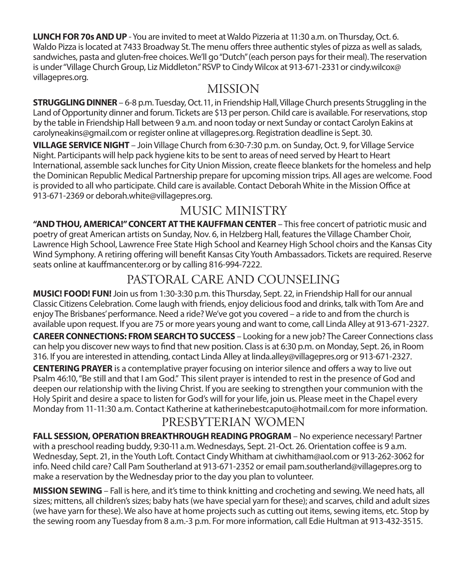**LUNCH FOR 70s AND UP** - You are invited to meet at Waldo Pizzeria at 11:30 a.m. on Thursday, Oct. 6. Waldo Pizza is located at 7433 Broadway St. The menu offers three authentic styles of pizza as well as salads, sandwiches, pasta and gluten-free choices. We'll go "Dutch" (each person pays for their meal). The reservation is under "Village Church Group, Liz Middleton." RSVP to Cindy Wilcox at 913-671-2331 or cindy.wilcox@ villagepres.org.

# **MISSION**

**STRUGGLING DINNER** – 6-8 p.m. Tuesday, Oct. 11, in Friendship Hall, Village Church presents Struggling in the Land of Opportunity dinner and forum. Tickets are \$13 per person. Child care is available. For reservations, stop by the table in Friendship Hall between 9 a.m. and noon today or next Sunday or contact Carolyn Eakins at carolyneakins@gmail.com or register online at villagepres.org. Registration deadline is Sept. 30.

**VILLAGE SERVICE NIGHT** – Join Village Church from 6:30-7:30 p.m. on Sunday, Oct. 9, for Village Service Night. Participants will help pack hygiene kits to be sent to areas of need served by Heart to Heart International, assemble sack lunches for City Union Mission, create fleece blankets for the homeless and help the Dominican Republic Medical Partnership prepare for upcoming mission trips. All ages are welcome. Food is provided to all who participate. Child care is available. Contact Deborah White in the Mission Office at 913-671-2369 or deborah.white@villagepres.org.

# MUSIC MINISTRY

**"AND THOU, AMERICA!" CONCERT AT THE KAUFFMAN CENTER** – This free concert of patriotic music and poetry of great American artists on Sunday, Nov. 6, in Helzberg Hall, features the Village Chamber Choir, Lawrence High School, Lawrence Free State High School and Kearney High School choirs and the Kansas City Wind Symphony. A retiring offering will benefit Kansas City Youth Ambassadors. Tickets are required. Reserve seats online at kauffmancenter.org or by calling 816-994-7222.

# PASTORAL CARE AND COUNSELING

**MUSIC! FOOD! FUN!** Join us from 1:30-3:30 p.m. this Thursday, Sept. 22, in Friendship Hall for our annual Classic Citizens Celebration. Come laugh with friends, enjoy delicious food and drinks, talk with Tom Are and enjoy The Brisbanes' performance. Need a ride? We've got you covered – a ride to and from the church is available upon request. If you are 75 or more years young and want to come, call Linda Alley at 913-671-2327.

**CAREER CONNECTIONS: FROM SEARCH TO SUCCESS** – Looking for a new job? The Career Connections class can help you discover new ways to find that new position. Class is at 6:30 p.m. on Monday, Sept. 26, in Room 316. If you are interested in attending, contact Linda Alley at linda.alley@villagepres.org or 913-671-2327.

**CENTERING PRAYER** is a contemplative prayer focusing on interior silence and offers a way to live out Psalm 46:10, "Be still and that I am God." This silent prayer is intended to rest in the presence of God and deepen our relationship with the living Christ. If you are seeking to strengthen your communion with the Holy Spirit and desire a space to listen for God's will for your life, join us. Please meet in the Chapel every Monday from 11-11:30 a.m. Contact Katherine at katherinebestcaputo@hotmail.com for more information.

# PRESBYTERIAN WOMEN

**FALL SESSION, OPERATION BREAKTHROUGH READING PROGRAM** – No experience necessary! Partner with a preschool reading buddy, 9:30-11 a.m. Wednesdays, Sept. 21-Oct. 26. Orientation coffee is 9 a.m. Wednesday, Sept. 21, in the Youth Loft. Contact Cindy Whitham at ciwhitham@aol.com or 913-262-3062 for info. Need child care? Call Pam Southerland at 913-671-2352 or email pam.southerland@villagepres.org to make a reservation by the Wednesday prior to the day you plan to volunteer.

**MISSION SEWING** – Fall is here, and it's time to think knitting and crocheting and sewing. We need hats, all sizes; mittens, all children's sizes; baby hats (we have special yarn for these); and scarves, child and adult sizes (we have yarn for these). We also have at home projects such as cutting out items, sewing items, etc. Stop by the sewing room any Tuesday from 8 a.m.-3 p.m. For more information, call Edie Hultman at 913-432-3515.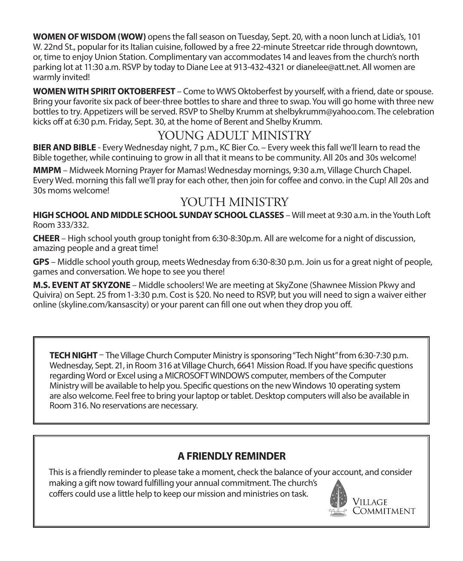**WOMEN OF WISDOM (WOW)** opens the fall season on Tuesday, Sept. 20, with a noon lunch at Lidia's, 101 W. 22nd St., popular for its Italian cuisine, followed by a free 22-minute Streetcar ride through downtown, or, time to enjoy Union Station. Complimentary van accommodates 14 and leaves from the church's north parking lot at 11:30 a.m. RSVP by today to Diane Lee at 913-432-4321 or dianelee@att.net. All women are warmly invited!

**WOMEN WITH SPIRIT OKTOBERFEST** – Come to WWS Oktoberfest by yourself, with a friend, date or spouse. Bring your favorite six pack of beer-three bottles to share and three to swap. You will go home with three new bottles to try. Appetizers will be served. RSVP to Shelby Krumm at shelbykrumm@yahoo.com. The celebration kicks off at 6:30 p.m. Friday, Sept. 30, at the home of Berent and Shelby Krumm.

# YOUNG ADULT MINISTRY

**BIER AND BIBLE** - Every Wednesday night, 7 p.m., KC Bier Co. – Every week this fall we'll learn to read the Bible together, while continuing to grow in all that it means to be community. All 20s and 30s welcome!

**MMPM** – Midweek Morning Prayer for Mamas! Wednesday mornings, 9:30 a.m, Village Church Chapel. Every Wed. morning this fall we'll pray for each other, then join for coffee and convo. in the Cup! All 20s and 30s moms welcome!

# YOUTH MINISTRY

**HIGH SCHOOL AND MIDDLE SCHOOL SUNDAY SCHOOL CLASSES – Will meet at 9:30 a.m. in the Youth Loft** Room 333/332.

**CHEER** – High school youth group tonight from 6:30-8:30p.m. All are welcome for a night of discussion, amazing people and a great time!

**GPS** – Middle school youth group, meets Wednesday from 6:30-8:30 p.m. Join us for a great night of people, games and conversation. We hope to see you there!

**M.S. EVENT AT SKYZONE** – Middle schoolers! We are meeting at SkyZone (Shawnee Mission Pkwy and Quivira) on Sept. 25 from 1-3:30 p.m. Cost is \$20. No need to RSVP, but you will need to sign a waiver either online (skyline.com/kansascity) or your parent can fill one out when they drop you off.

**TECH NIGHT** – The Village Church Computer Ministry is sponsoring "Tech Night" from 6:30-7:30 p.m. Wednesday, Sept. 21, in Room 316 at Village Church, 6641 Mission Road. If you have specific questions regarding Word or Excel using a MICROSOFT WINDOWS computer, members of the Computer Ministry will be available to help you. Specific questions on the new Windows 10 operating system are also welcome. Feel free to bring your laptop or tablet. Desktop computers will also be available in Room 316. No reservations are necessary.

# **A FRIENDLY REMINDER**

This is a friendly reminder to please take a moment, check the balance of your account, and consider making a gift now toward fulfilling your annual commitment. The church's coffers could use a little help to keep our mission and ministries on task.